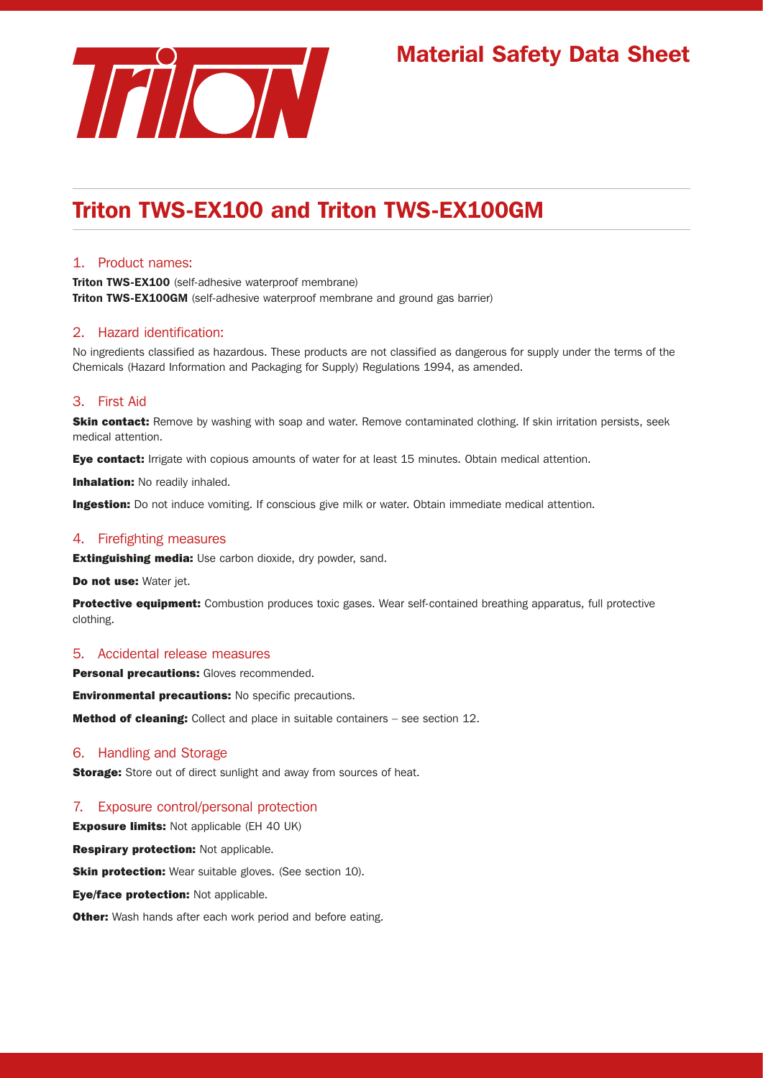

# Material Safety Data Sheet

# Triton TWS-EX100 and Triton TWS-EX100GM

# 1. Product names:

**Triton TWS-EX100** (self-adhesive waterproof membrane) **Triton TWS-EX100GM** (self-adhesive waterproof membrane and ground gas barrier)

# 2. Hazard identification:

No ingredients classified as hazardous. These products are not classified as dangerous for supply under the terms of the Chemicals (Hazard Information and Packaging for Supply) Regulations 1994, as amended.

# 3. First Aid

Skin contact: Remove by washing with soap and water. Remove contaminated clothing. If skin irritation persists, seek medical attention.

Eye contact: Irrigate with copious amounts of water for at least 15 minutes. Obtain medical attention.

**Inhalation: No readily inhaled.** 

**Ingestion:** Do not induce vomiting. If conscious give milk or water. Obtain immediate medical attention.

## 4. Firefighting measures

**Extinguishing media:** Use carbon dioxide, dry powder, sand.

Do not use: Water jet.

**Protective equipment:** Combustion produces toxic gases. Wear self-contained breathing apparatus, full protective clothing.

#### 5. Accidental release measures

Personal precautions: Gloves recommended.

Environmental precautions: No specific precautions.

Method of cleaning: Collect and place in suitable containers - see section 12.

## 6. Handling and Storage

**Storage:** Store out of direct sunlight and away from sources of heat.

# 7. Exposure control/personal protection

**Exposure limits:** Not applicable (EH 40 UK)

**Respirary protection: Not applicable.** 

**Skin protection:** Wear suitable gloves. (See section 10).

Eye/face protection: Not applicable.

**Other:** Wash hands after each work period and before eating.